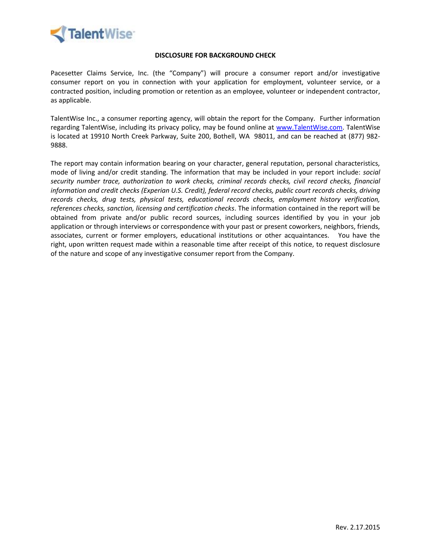

#### **DISCLOSURE FOR BACKGROUND CHECK**

Pacesetter Claims Service, Inc. (the "Company") will procure a consumer report and/or investigative consumer report on you in connection with your application for employment, volunteer service, or a contracted position, including promotion or retention as an employee, volunteer or independent contractor, as applicable.

TalentWise Inc., a consumer reporting agency, will obtain the report for the Company. Further information regarding TalentWise, including its privacy policy, may be found online at [www.TalentWise.com.](http://www.talentwise.com/) TalentWise is located at 19910 North Creek Parkway, Suite 200, Bothell, WA 98011, and can be reached at (877) 982- 9888.

The report may contain information bearing on your character, general reputation, personal characteristics, mode of living and/or credit standing. The information that may be included in your report include: *social security number trace, authorization to work checks, criminal records checks, civil record checks, financial information and credit checks (Experian U.S. Credit), federal record checks, public court records checks, driving records checks, drug tests, physical tests, educational records checks, employment history verification, references checks, sanction, licensing and certification checks*. The information contained in the report will be obtained from private and/or public record sources, including sources identified by you in your job application or through interviews or correspondence with your past or present coworkers, neighbors, friends, associates, current or former employers, educational institutions or other acquaintances. You have the right, upon written request made within a reasonable time after receipt of this notice, to request disclosure of the nature and scope of any investigative consumer report from the Company.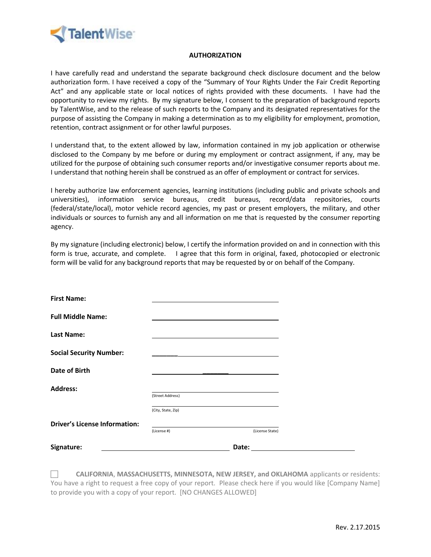

#### **AUTHORIZATION**

I have carefully read and understand the separate background check disclosure document and the below authorization form. I have received a copy of the "Summary of Your Rights Under the Fair Credit Reporting Act" and any applicable state or local notices of rights provided with these documents. I have had the opportunity to review my rights. By my signature below, I consent to the preparation of background reports by TalentWise, and to the release of such reports to the Company and its designated representatives for the purpose of assisting the Company in making a determination as to my eligibility for employment, promotion, retention, contract assignment or for other lawful purposes.

I understand that, to the extent allowed by law, information contained in my job application or otherwise disclosed to the Company by me before or during my employment or contract assignment, if any, may be utilized for the purpose of obtaining such consumer reports and/or investigative consumer reports about me. I understand that nothing herein shall be construed as an offer of employment or contract for services.

I hereby authorize law enforcement agencies, learning institutions (including public and private schools and universities), information service bureaus, credit bureaus, record/data repositories, courts (federal/state/local), motor vehicle record agencies, my past or present employers, the military, and other individuals or sources to furnish any and all information on me that is requested by the consumer reporting agency.

By my signature (including electronic) below, I certify the information provided on and in connection with this form is true, accurate, and complete. I agree that this form in original, faxed, photocopied or electronic form will be valid for any background reports that may be requested by or on behalf of the Company.

| <b>Driver's License Information:</b> | (License #)        | (License State)                                                                                                                                                                                                                        |  |
|--------------------------------------|--------------------|----------------------------------------------------------------------------------------------------------------------------------------------------------------------------------------------------------------------------------------|--|
|                                      | (City, State, Zip) |                                                                                                                                                                                                                                        |  |
|                                      | (Street Address)   |                                                                                                                                                                                                                                        |  |
| <b>Address:</b>                      |                    |                                                                                                                                                                                                                                        |  |
| <b>Date of Birth</b>                 |                    |                                                                                                                                                                                                                                        |  |
| <b>Social Security Number:</b>       |                    | <u>and</u> the control of the control of the control of the control of the control of the control of the control of the<br>Second Second Second Second Second Second Second Second Second Second Second Second Second Second Second Se |  |
| <b>Last Name:</b>                    |                    |                                                                                                                                                                                                                                        |  |
| <b>Full Middle Name:</b>             |                    |                                                                                                                                                                                                                                        |  |
| <b>First Name:</b>                   |                    |                                                                                                                                                                                                                                        |  |

 **CALIFORNIA**, **MASSACHUSETTS, MINNESOTA, NEW JERSEY, and OKLAHOMA** applicants or residents: You have a right to request a free copy of your report. Please check here if you would like [Company Name] to provide you with a copy of your report. [NO CHANGES ALLOWED]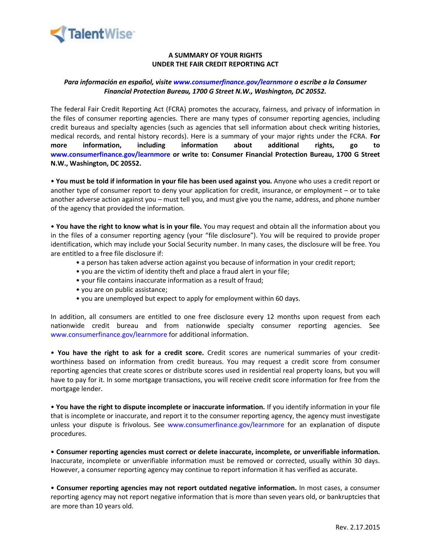

# **A SUMMARY OF YOUR RIGHTS UNDER THE FAIR CREDIT REPORTING ACT**

# *Para información en español, visite www.consumerfinance.gov/learnmore o escribe a la Consumer Financial Protection Bureau, 1700 G Street N.W., Washington, DC 20552.*

The federal Fair Credit Reporting Act (FCRA) promotes the accuracy, fairness, and privacy of information in the files of consumer reporting agencies. There are many types of consumer reporting agencies, including credit bureaus and specialty agencies (such as agencies that sell information about check writing histories, medical records, and rental history records). Here is a summary of your major rights under the FCRA. **For more information, including information about additional rights, go to www.consumerfinance.gov/learnmore or write to: Consumer Financial Protection Bureau, 1700 G Street N.W., Washington, DC 20552.**

• **You must be told if information in your file has been used against you.** Anyone who uses a credit report or another type of consumer report to deny your application for credit, insurance, or employment – or to take another adverse action against you – must tell you, and must give you the name, address, and phone number of the agency that provided the information.

• **You have the right to know what is in your file.** You may request and obtain all the information about you in the files of a consumer reporting agency (your "file disclosure"). You will be required to provide proper identification, which may include your Social Security number. In many cases, the disclosure will be free. You are entitled to a free file disclosure if:

- a person has taken adverse action against you because of information in your credit report;
- you are the victim of identity theft and place a fraud alert in your file;
- your file contains inaccurate information as a result of fraud;
- you are on public assistance;
- you are unemployed but expect to apply for employment within 60 days.

In addition, all consumers are entitled to one free disclosure every 12 months upon request from each nationwide credit bureau and from nationwide specialty consumer reporting agencies. See www.consumerfinance.gov/learnmore for additional information.

• **You have the right to ask for a credit score.** Credit scores are numerical summaries of your creditworthiness based on information from credit bureaus. You may request a credit score from consumer reporting agencies that create scores or distribute scores used in residential real property loans, but you will have to pay for it. In some mortgage transactions, you will receive credit score information for free from the mortgage lender.

• **You have the right to dispute incomplete or inaccurate information.** If you identify information in your file that is incomplete or inaccurate, and report it to the consumer reporting agency, the agency must investigate unless your dispute is frivolous. See www.consumerfinance.gov/learnmore for an explanation of dispute procedures.

• **Consumer reporting agencies must correct or delete inaccurate, incomplete, or unverifiable information.**  Inaccurate, incomplete or unverifiable information must be removed or corrected, usually within 30 days. However, a consumer reporting agency may continue to report information it has verified as accurate.

• **Consumer reporting agencies may not report outdated negative information.** In most cases, a consumer reporting agency may not report negative information that is more than seven years old, or bankruptcies that are more than 10 years old.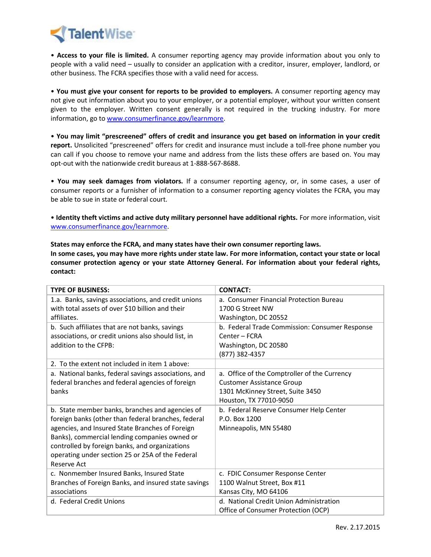

• **Access to your file is limited.** A consumer reporting agency may provide information about you only to people with a valid need – usually to consider an application with a creditor, insurer, employer, landlord, or other business. The FCRA specifies those with a valid need for access.

• **You must give your consent for reports to be provided to employers.** A consumer reporting agency may not give out information about you to your employer, or a potential employer, without your written consent given to the employer. Written consent generally is not required in the trucking industry. For more information, go to [www.consumerfinance.gov/learnmore.](http://www.consumerfinance.gov/learnmore)

• **You may limit "prescreened" offers of credit and insurance you get based on information in your credit report.** Unsolicited "prescreened" offers for credit and insurance must include a toll-free phone number you can call if you choose to remove your name and address from the lists these offers are based on. You may opt-out with the nationwide credit bureaus at 1-888-567-8688.

• **You may seek damages from violators.** If a consumer reporting agency, or, in some cases, a user of consumer reports or a furnisher of information to a consumer reporting agency violates the FCRA, you may be able to sue in state or federal court.

• **Identity theft victims and active duty military personnel have additional rights.** For more information, visit [www.consumerfinance.gov/learnmore.](http://www.consumerfinance.gov/learnmore)

**States may enforce the FCRA, and many states have their own consumer reporting laws. In some cases, you may have more rights under state law. For more information, contact your state or local consumer protection agency or your state Attorney General. For information about your federal rights, contact:**

| <b>TYPE OF BUSINESS:</b>                             | <b>CONTACT:</b>                                |
|------------------------------------------------------|------------------------------------------------|
| 1.a. Banks, savings associations, and credit unions  | a. Consumer Financial Protection Bureau        |
| with total assets of over \$10 billion and their     | 1700 G Street NW                               |
| affiliates.                                          | Washington, DC 20552                           |
| b. Such affiliates that are not banks, savings       | b. Federal Trade Commission: Consumer Response |
| associations, or credit unions also should list, in  | Center - FCRA                                  |
| addition to the CFPB:                                | Washington, DC 20580                           |
|                                                      | (877) 382-4357                                 |
| 2. To the extent not included in item 1 above:       |                                                |
| a. National banks, federal savings associations, and | a. Office of the Comptroller of the Currency   |
| federal branches and federal agencies of foreign     | <b>Customer Assistance Group</b>               |
| banks                                                | 1301 McKinney Street, Suite 3450               |
|                                                      | Houston, TX 77010-9050                         |
| b. State member banks, branches and agencies of      | b. Federal Reserve Consumer Help Center        |
| foreign banks (other than federal branches, federal  | P.O. Box 1200                                  |
| agencies, and Insured State Branches of Foreign      | Minneapolis, MN 55480                          |
| Banks), commercial lending companies owned or        |                                                |
| controlled by foreign banks, and organizations       |                                                |
| operating under section 25 or 25A of the Federal     |                                                |
| Reserve Act                                          |                                                |
| c. Nonmember Insured Banks, Insured State            | c. FDIC Consumer Response Center               |
| Branches of Foreign Banks, and insured state savings | 1100 Walnut Street, Box #11                    |
| associations                                         | Kansas City, MO 64106                          |
| d. Federal Credit Unions                             | d. National Credit Union Administration        |
|                                                      | Office of Consumer Protection (OCP)            |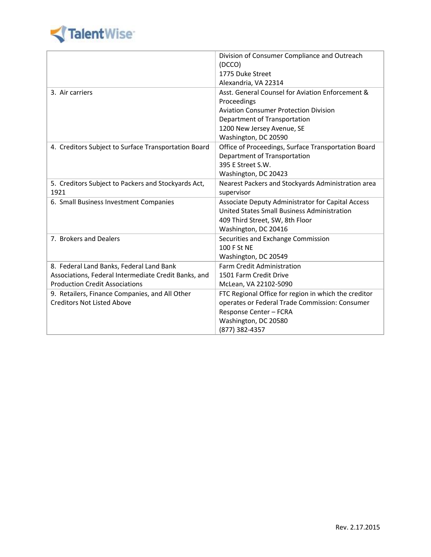

|                                                      | Division of Consumer Compliance and Outreach         |  |
|------------------------------------------------------|------------------------------------------------------|--|
|                                                      | (DCCO)                                               |  |
|                                                      | 1775 Duke Street                                     |  |
|                                                      | Alexandria, VA 22314                                 |  |
| 3. Air carriers                                      | Asst. General Counsel for Aviation Enforcement &     |  |
|                                                      | Proceedings                                          |  |
|                                                      | <b>Aviation Consumer Protection Division</b>         |  |
|                                                      | Department of Transportation                         |  |
|                                                      | 1200 New Jersey Avenue, SE                           |  |
|                                                      | Washington, DC 20590                                 |  |
| 4. Creditors Subject to Surface Transportation Board | Office of Proceedings, Surface Transportation Board  |  |
|                                                      | Department of Transportation                         |  |
|                                                      | 395 E Street S.W.                                    |  |
|                                                      | Washington, DC 20423                                 |  |
| 5. Creditors Subject to Packers and Stockyards Act,  | Nearest Packers and Stockyards Administration area   |  |
| 1921                                                 | supervisor                                           |  |
| 6. Small Business Investment Companies               | Associate Deputy Administrator for Capital Access    |  |
|                                                      | United States Small Business Administration          |  |
|                                                      | 409 Third Street, SW, 8th Floor                      |  |
|                                                      | Washington, DC 20416                                 |  |
| 7. Brokers and Dealers                               | Securities and Exchange Commission                   |  |
|                                                      | 100 F St NE                                          |  |
|                                                      | Washington, DC 20549                                 |  |
| 8. Federal Land Banks, Federal Land Bank             | <b>Farm Credit Administration</b>                    |  |
| Associations, Federal Intermediate Credit Banks, and | 1501 Farm Credit Drive                               |  |
| <b>Production Credit Associations</b>                | McLean, VA 22102-5090                                |  |
| 9. Retailers, Finance Companies, and All Other       | FTC Regional Office for region in which the creditor |  |
| <b>Creditors Not Listed Above</b>                    | operates or Federal Trade Commission: Consumer       |  |
|                                                      | Response Center - FCRA                               |  |
|                                                      | Washington, DC 20580                                 |  |
|                                                      | (877) 382-4357                                       |  |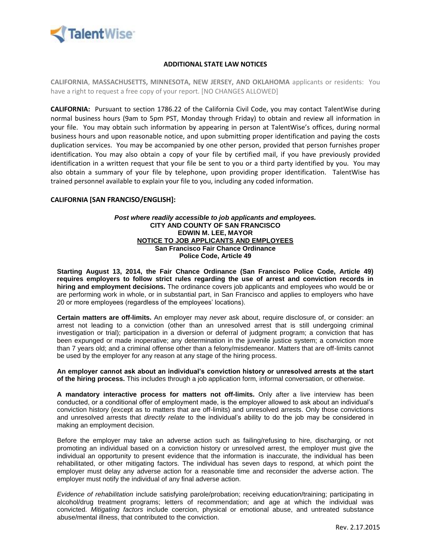

## **ADDITIONAL STATE LAW NOTICES**

**CALIFORNIA**, **MASSACHUSETTS, MINNESOTA, NEW JERSEY, AND OKLAHOMA** applicants or residents: You have a right to request a free copy of your report. [NO CHANGES ALLOWED]

**CALIFORNIA:** Pursuant to section 1786.22 of the California Civil Code, you may contact TalentWise during normal business hours (9am to 5pm PST, Monday through Friday) to obtain and review all information in your file. You may obtain such information by appearing in person at TalentWise's offices, during normal business hours and upon reasonable notice, and upon submitting proper identification and paying the costs duplication services. You may be accompanied by one other person, provided that person furnishes proper identification. You may also obtain a copy of your file by certified mail, if you have previously provided identification in a written request that your file be sent to you or a third party identified by you. You may also obtain a summary of your file by telephone, upon providing proper identification. TalentWise has trained personnel available to explain your file to you, including any coded information.

#### **CALIFORNIA [SAN FRANCISO/ENGLISH]:**

#### *Post where readily accessible to job applicants and employees.* **CITY AND COUNTY OF SAN FRANCISCO EDWIN M. LEE, MAYOR NOTICE TO JOB APPLICANTS AND EMPLOYEES San Francisco Fair Chance Ordinance Police Code, Article 49**

**Starting August 13, 2014, the Fair Chance Ordinance (San Francisco Police Code, Article 49) requires employers to follow strict rules regarding the use of arrest and conviction records in hiring and employment decisions.** The ordinance covers job applicants and employees who would be or are performing work in whole, or in substantial part, in San Francisco and applies to employers who have 20 or more employees (regardless of the employees' locations).

**Certain matters are off-limits.** An employer may *never* ask about, require disclosure of, or consider: an arrest not leading to a conviction (other than an unresolved arrest that is still undergoing criminal investigation or trial); participation in a diversion or deferral of judgment program; a conviction that has been expunged or made inoperative; any determination in the juvenile justice system; a conviction more than 7 years old; and a criminal offense other than a felony/misdemeanor. Matters that are off-limits cannot be used by the employer for any reason at any stage of the hiring process.

**An employer cannot ask about an individual's conviction history or unresolved arrests at the start of the hiring process.** This includes through a job application form, informal conversation, or otherwise.

**A mandatory interactive process for matters not off-limits.** Only after a live interview has been conducted, or a conditional offer of employment made, is the employer allowed to ask about an individual's conviction history (except as to matters that are off-limits) and unresolved arrests. Only those convictions and unresolved arrests that *directly relate* to the individual's ability to do the job may be considered in making an employment decision.

Before the employer may take an adverse action such as failing/refusing to hire, discharging, or not promoting an individual based on a conviction history or unresolved arrest, the employer must give the individual an opportunity to present evidence that the information is inaccurate, the individual has been rehabilitated, or other mitigating factors. The individual has seven days to respond, at which point the employer must delay any adverse action for a reasonable time and reconsider the adverse action. The employer must notify the individual of any final adverse action.

*Evidence of rehabilitation* include satisfying parole/probation; receiving education/training; participating in alcohol/drug treatment programs; letters of recommendation; and age at which the individual was convicted. *Mitigating factors* include coercion, physical or emotional abuse, and untreated substance abuse/mental illness, that contributed to the conviction.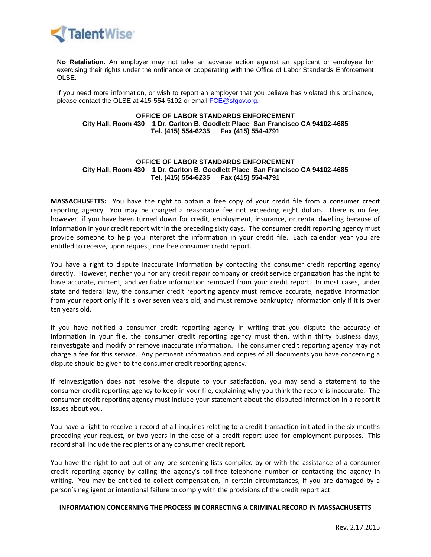

**No Retaliation.** An employer may not take an adverse action against an applicant or employee for exercising their rights under the ordinance or cooperating with the Office of Labor Standards Enforcement OLSE.

If you need more information, or wish to report an employer that you believe has violated this ordinance, please contact the OLSE at 415-554-5192 or email [FCE@sfgov.org.](mailto:FCE@sfgov.org)

#### **OFFICE OF LABOR STANDARDS ENFORCEMENT City Hall, Room 430 1 Dr. Carlton B. Goodlett Place San Francisco CA 94102-4685 Tel. (415) 554-6235 Fax (415) 554-4791**

#### **OFFICE OF LABOR STANDARDS ENFORCEMENT City Hall, Room 430 1 Dr. Carlton B. Goodlett Place San Francisco CA 94102-4685 Tel. (415) 554-6235 Fax (415) 554-4791**

**MASSACHUSETTS:** You have the right to obtain a free copy of your credit file from a consumer credit reporting agency. You may be charged a reasonable fee not exceeding eight dollars. There is no fee, however, if you have been turned down for credit, employment, insurance, or rental dwelling because of information in your credit report within the preceding sixty days. The consumer credit reporting agency must provide someone to help you interpret the information in your credit file. Each calendar year you are entitled to receive, upon request, one free consumer credit report.

You have a right to dispute inaccurate information by contacting the consumer credit reporting agency directly. However, neither you nor any credit repair company or credit service organization has the right to have accurate, current, and verifiable information removed from your credit report. In most cases, under state and federal law, the consumer credit reporting agency must remove accurate, negative information from your report only if it is over seven years old, and must remove bankruptcy information only if it is over ten years old.

If you have notified a consumer credit reporting agency in writing that you dispute the accuracy of information in your file, the consumer credit reporting agency must then, within thirty business days, reinvestigate and modify or remove inaccurate information. The consumer credit reporting agency may not charge a fee for this service. Any pertinent information and copies of all documents you have concerning a dispute should be given to the consumer credit reporting agency.

If reinvestigation does not resolve the dispute to your satisfaction, you may send a statement to the consumer credit reporting agency to keep in your file, explaining why you think the record is inaccurate. The consumer credit reporting agency must include your statement about the disputed information in a report it issues about you.

You have a right to receive a record of all inquiries relating to a credit transaction initiated in the six months preceding your request, or two years in the case of a credit report used for employment purposes. This record shall include the recipients of any consumer credit report.

You have the right to opt out of any pre-screening lists compiled by or with the assistance of a consumer credit reporting agency by calling the agency's toll-free telephone number or contacting the agency in writing. You may be entitled to collect compensation, in certain circumstances, if you are damaged by a person's negligent or intentional failure to comply with the provisions of the credit report act.

## **INFORMATION CONCERNING THE PROCESS IN CORRECTING A CRIMINAL RECORD IN MASSACHUSETTS**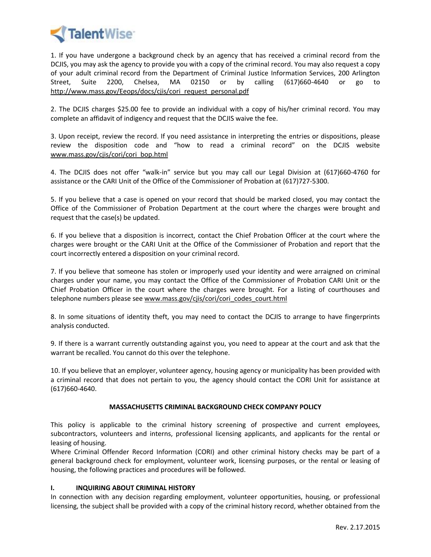

1. If you have undergone a background check by an agency that has received a criminal record from the DCJIS, you may ask the agency to provide you with a copy of the criminal record. You may also request a copy of your adult criminal record from the Department of Criminal Justice Information Services, 200 Arlington Street, Suite 2200, Chelsea, MA 02150 or by calling (617)660-4640 or go to http://www.mass.gov/Eeops/docs/cjis/cori\_request\_personal.pdf

2. The DCJIS charges \$25.00 fee to provide an individual with a copy of his/her criminal record. You may complete an affidavit of indigency and request that the DCJIS waive the fee.

3. Upon receipt, review the record. If you need assistance in interpreting the entries or dispositions, please review the disposition code and "how to read a criminal record" on the DCJIS website www.mass.gov/cjis/cori/cori\_bop.html

4. The DCJIS does not offer "walk-in" service but you may call our Legal Division at (617)660-4760 for assistance or the CARI Unit of the Office of the Commissioner of Probation at (617)727-5300.

5. If you believe that a case is opened on your record that should be marked closed, you may contact the Office of the Commissioner of Probation Department at the court where the charges were brought and request that the case(s) be updated.

6. If you believe that a disposition is incorrect, contact the Chief Probation Officer at the court where the charges were brought or the CARI Unit at the Office of the Commissioner of Probation and report that the court incorrectly entered a disposition on your criminal record.

7. If you believe that someone has stolen or improperly used your identity and were arraigned on criminal charges under your name, you may contact the Office of the Commissioner of Probation CARI Unit or the Chief Probation Officer in the court where the charges were brought. For a listing of courthouses and telephone numbers please see www.mass.gov/cjis/cori/cori\_codes\_court.html

8. In some situations of identity theft, you may need to contact the DCJIS to arrange to have fingerprints analysis conducted.

9. If there is a warrant currently outstanding against you, you need to appear at the court and ask that the warrant be recalled. You cannot do this over the telephone.

10. If you believe that an employer, volunteer agency, housing agency or municipality has been provided with a criminal record that does not pertain to you, the agency should contact the CORI Unit for assistance at (617)660-4640.

## **MASSACHUSETTS CRIMINAL BACKGROUND CHECK COMPANY POLICY**

This policy is applicable to the criminal history screening of prospective and current employees, subcontractors, volunteers and interns, professional licensing applicants, and applicants for the rental or leasing of housing.

Where Criminal Offender Record Information (CORI) and other criminal history checks may be part of a general background check for employment, volunteer work, licensing purposes, or the rental or leasing of housing, the following practices and procedures will be followed.

## **I. INQUIRING ABOUT CRIMINAL HISTORY**

In connection with any decision regarding employment, volunteer opportunities, housing, or professional licensing, the subject shall be provided with a copy of the criminal history record, whether obtained from the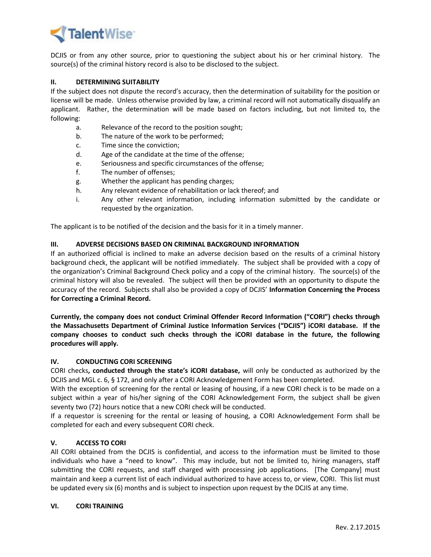

DCJIS or from any other source, prior to questioning the subject about his or her criminal history. The source(s) of the criminal history record is also to be disclosed to the subject.

## **II. DETERMINING SUITABILITY**

If the subject does not dispute the record's accuracy, then the determination of suitability for the position or license will be made. Unless otherwise provided by law, a criminal record will not automatically disqualify an applicant. Rather, the determination will be made based on factors including, but not limited to, the following:

- a. Relevance of the record to the position sought;
- b. The nature of the work to be performed;
- c. Time since the conviction;
- d. Age of the candidate at the time of the offense;
- e. Seriousness and specific circumstances of the offense;
- f. The number of offenses;
- g. Whether the applicant has pending charges;
- h. Any relevant evidence of rehabilitation or lack thereof; and
- i. Any other relevant information, including information submitted by the candidate or requested by the organization.

The applicant is to be notified of the decision and the basis for it in a timely manner.

# **III. ADVERSE DECISIONS BASED ON CRIMINAL BACKGROUND INFORMATION**

If an authorized official is inclined to make an adverse decision based on the results of a criminal history background check, the applicant will be notified immediately. The subject shall be provided with a copy of the organization's Criminal Background Check policy and a copy of the criminal history. The source(s) of the criminal history will also be revealed. The subject will then be provided with an opportunity to dispute the accuracy of the record. Subjects shall also be provided a copy of DCJIS' **Information Concerning the Process for Correcting a Criminal Record.**

**Currently, the company does not conduct Criminal Offender Record Information ("CORI") checks through the Massachusetts Department of Criminal Justice Information Services ("DCJIS") iCORI database. If the company chooses to conduct such checks through the iCORI database in the future, the following procedures will apply.**

## **IV. CONDUCTING CORI SCREENING**

CORI checks**, conducted through the state's iCORI database,** will only be conducted as authorized by the DCJIS and MGL c. 6, § 172, and only after a CORI Acknowledgement Form has been completed.

With the exception of screening for the rental or leasing of housing, if a new CORI check is to be made on a subject within a year of his/her signing of the CORI Acknowledgement Form, the subject shall be given seventy two (72) hours notice that a new CORI check will be conducted.

If a requestor is screening for the rental or leasing of housing, a CORI Acknowledgement Form shall be completed for each and every subsequent CORI check.

## **V. ACCESS TO CORI**

All CORI obtained from the DCJIS is confidential, and access to the information must be limited to those individuals who have a "need to know". This may include, but not be limited to, hiring managers, staff submitting the CORI requests, and staff charged with processing job applications. [The Company] must maintain and keep a current list of each individual authorized to have access to, or view, CORI. This list must be updated every six (6) months and is subject to inspection upon request by the DCJIS at any time.

#### **VI. CORI TRAINING**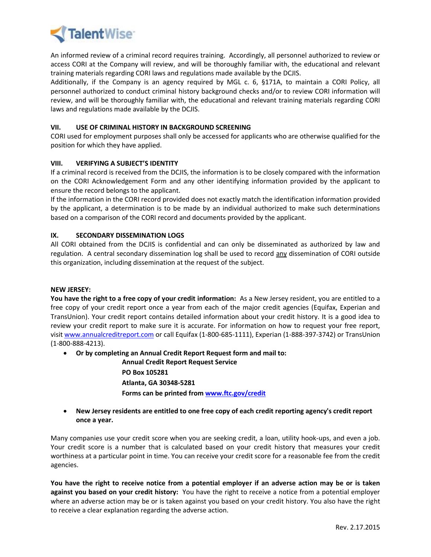

An informed review of a criminal record requires training. Accordingly, all personnel authorized to review or access CORI at the Company will review, and will be thoroughly familiar with, the educational and relevant training materials regarding CORI laws and regulations made available by the DCJIS.

Additionally, if the Company is an agency required by MGL c. 6, §171A, to maintain a CORI Policy, all personnel authorized to conduct criminal history background checks and/or to review CORI information will review, and will be thoroughly familiar with, the educational and relevant training materials regarding CORI laws and regulations made available by the DCJIS.

# **VII. USE OF CRIMINAL HISTORY IN BACKGROUND SCREENING**

CORI used for employment purposes shall only be accessed for applicants who are otherwise qualified for the position for which they have applied.

# **VIII. VERIFYING A SUBJECT'S IDENTITY**

If a criminal record is received from the DCJIS, the information is to be closely compared with the information on the CORI Acknowledgement Form and any other identifying information provided by the applicant to ensure the record belongs to the applicant.

If the information in the CORI record provided does not exactly match the identification information provided by the applicant, a determination is to be made by an individual authorized to make such determinations based on a comparison of the CORI record and documents provided by the applicant.

# **IX. SECONDARY DISSEMINATION LOGS**

All CORI obtained from the DCJIS is confidential and can only be disseminated as authorized by law and regulation. A central secondary dissemination log shall be used to record any dissemination of CORI outside this organization, including dissemination at the request of the subject.

## **NEW JERSEY:**

**You have the right to a free copy of your credit information:** As a New Jersey resident, you are entitled to a free copy of your credit report once a year from each of the major credit agencies (Equifax, Experian and TransUnion). Your credit report contains detailed information about your credit history. It is a good idea to review your credit report to make sure it is accurate. For information on how to request your free report, visi[t www.annualcreditreport.com](http://www.annualcreditreport.com/) or call Equifax (1-800-685-1111), Experian (1-888-397-3742) or TransUnion (1-800-888-4213).

**Or by completing an Annual Credit Report Request form and mail to:**

**Annual Credit Report Request Service PO Box 105281 Atlanta, GA 30348-5281 Forms can be printed fro[m www.ftc.gov/credit](http://www.ftc.gov/credit)**

# **New Jersey residents are entitled to one free copy of each credit reporting agency's credit report once a year.**

Many companies use your credit score when you are seeking credit, a loan, utility hook-ups, and even a job. Your credit score is a number that is calculated based on your credit history that measures your credit worthiness at a particular point in time. You can receive your credit score for a reasonable fee from the credit agencies.

**You have the right to receive notice from a potential employer if an adverse action may be or is taken against you based on your credit history:** You have the right to receive a notice from a potential employer where an adverse action may be or is taken against you based on your credit history. You also have the right to receive a clear explanation regarding the adverse action.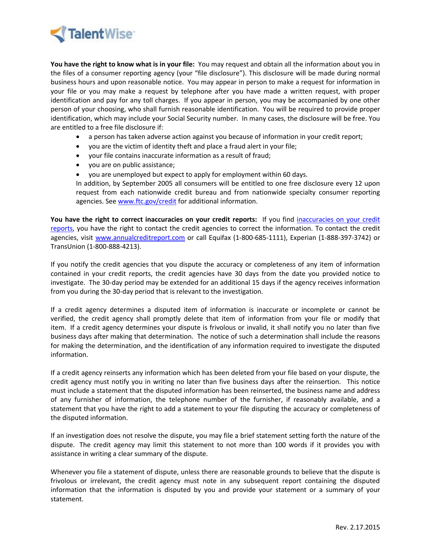

**You have the right to know what is in your file:** You may request and obtain all the information about you in the files of a consumer reporting agency (your "file disclosure"). This disclosure will be made during normal business hours and upon reasonable notice. You may appear in person to make a request for information in your file or you may make a request by telephone after you have made a written request, with proper identification and pay for any toll charges. If you appear in person, you may be accompanied by one other person of your choosing, who shall furnish reasonable identification. You will be required to provide proper identification, which may include your Social Security number. In many cases, the disclosure will be free. You are entitled to a free file disclosure if:

- a person has taken adverse action against you because of information in your credit report;
- you are the victim of identity theft and place a fraud alert in your file;
- your file contains inaccurate information as a result of fraud;
- you are on public assistance;
- you are unemployed but expect to apply for employment within 60 days.

In addition, by September 2005 all consumers will be entitled to one free disclosure every 12 upon request from each nationwide credit bureau and from nationwide specialty consumer reporting agencies. Se[e www.ftc.gov/credit](file:///C:/Users/emacapia.TALENTWISECORP/AppData/Local/Microsoft/Windows/Temporary%20Internet%20Files/Content.Outlook/AppData/Local/Microsoft/Windows/Temporary%20Internet%20Files/emacapia/Desktop/Corcoran/www.ftc.gov/credit) for additional information.

**You have the right to correct inaccuracies on your credit reports:** If you find [inaccuracies on your credit](http://www.state.nj.us/dobi/creditreport4.htm)  [reports,](http://www.state.nj.us/dobi/creditreport4.htm) you have the right to contact the credit agencies to correct the information. To contact the credit agencies, visit [www.annualcreditreport.com](http://www.annualcreditreport.com/) or call Equifax (1-800-685-1111), Experian (1-888-397-3742) or TransUnion (1-800-888-4213).

If you notify the credit agencies that you dispute the accuracy or completeness of any item of information contained in your credit reports, the credit agencies have 30 days from the date you provided notice to investigate. The 30-day period may be extended for an additional 15 days if the agency receives information from you during the 30-day period that is relevant to the investigation.

If a credit agency determines a disputed item of information is inaccurate or incomplete or cannot be verified, the credit agency shall promptly delete that item of information from your file or modify that item. If a credit agency determines your dispute is frivolous or invalid, it shall notify you no later than five business days after making that determination. The notice of such a determination shall include the reasons for making the determination, and the identification of any information required to investigate the disputed information.

If a credit agency reinserts any information which has been deleted from your file based on your dispute, the credit agency must notify you in writing no later than five business days after the reinsertion. This notice must include a statement that the disputed information has been reinserted, the business name and address of any furnisher of information, the telephone number of the furnisher, if reasonably available, and a statement that you have the right to add a statement to your file disputing the accuracy or completeness of the disputed information.

If an investigation does not resolve the dispute, you may file a brief statement setting forth the nature of the dispute. The credit agency may limit this statement to not more than 100 words if it provides you with assistance in writing a clear summary of the dispute.

Whenever you file a statement of dispute, unless there are reasonable grounds to believe that the dispute is frivolous or irrelevant, the credit agency must note in any subsequent report containing the disputed information that the information is disputed by you and provide your statement or a summary of your statement.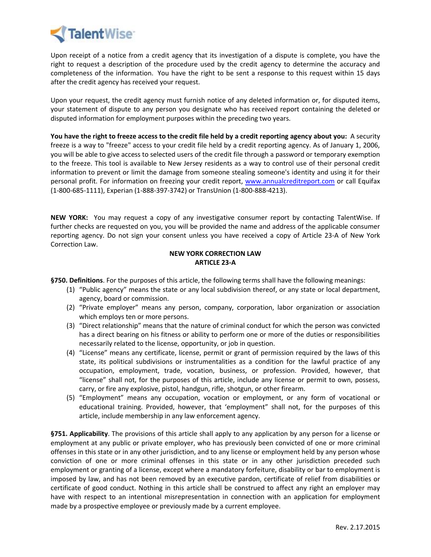

Upon receipt of a notice from a credit agency that its investigation of a dispute is complete, you have the right to request a description of the procedure used by the credit agency to determine the accuracy and completeness of the information. You have the right to be sent a response to this request within 15 days after the credit agency has received your request.

Upon your request, the credit agency must furnish notice of any deleted information or, for disputed items, your statement of dispute to any person you designate who has received report containing the deleted or disputed information for employment purposes within the preceding two years.

**You have the right to freeze access to the credit file held by a credit reporting agency about you:** A security freeze is a way to "freeze" access to your credit file held by a credit reporting agency. As of January 1, 2006, you will be able to give access to selected users of the credit file through a password or temporary exemption to the freeze. This tool is available to New Jersey residents as a way to control use of their personal credit information to prevent or limit the damage from someone stealing someone's identity and using it for their personal profit. For information on freezing your credit report, [www.annualcreditreport.com](http://www.annualcreditreport.com/) or call Equifax (1-800-685-1111), Experian (1-888-397-3742) or TransUnion (1-800-888-4213).

**NEW YORK:** You may request a copy of any investigative consumer report by contacting TalentWise. If further checks are requested on you, you will be provided the name and address of the applicable consumer reporting agency. Do not sign your consent unless you have received a copy of Article 23-A of New York Correction Law.

## **NEW YORK CORRECTION LAW ARTICLE 23-A**

**§750. Definitions**. For the purposes of this article, the following terms shall have the following meanings:

- (1) "Public agency" means the state or any local subdivision thereof, or any state or local department, agency, board or commission.
- (2) "Private employer" means any person, company, corporation, labor organization or association which employs ten or more persons.
- (3) "Direct relationship" means that the nature of criminal conduct for which the person was convicted has a direct bearing on his fitness or ability to perform one or more of the duties or responsibilities necessarily related to the license, opportunity, or job in question.
- (4) "License" means any certificate, license, permit or grant of permission required by the laws of this state, its political subdivisions or instrumentalities as a condition for the lawful practice of any occupation, employment, trade, vocation, business, or profession. Provided, however, that "license" shall not, for the purposes of this article, include any license or permit to own, possess, carry, or fire any explosive, pistol, handgun, rifle, shotgun, or other firearm.
- (5) "Employment" means any occupation, vocation or employment, or any form of vocational or educational training. Provided, however, that 'employment" shall not, for the purposes of this article, include membership in any law enforcement agency.

**§751. Applicability**. The provisions of this article shall apply to any application by any person for a license or employment at any public or private employer, who has previously been convicted of one or more criminal offenses in this state or in any other jurisdiction, and to any license or employment held by any person whose conviction of one or more criminal offenses in this state or in any other jurisdiction preceded such employment or granting of a license, except where a mandatory forfeiture, disability or bar to employment is imposed by law, and has not been removed by an executive pardon, certificate of relief from disabilities or certificate of good conduct. Nothing in this article shall be construed to affect any right an employer may have with respect to an intentional misrepresentation in connection with an application for employment made by a prospective employee or previously made by a current employee.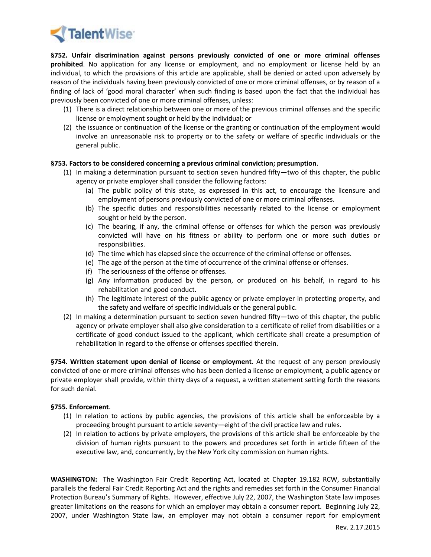

**§752. Unfair discrimination against persons previously convicted of one or more criminal offenses prohibited**. No application for any license or employment, and no employment or license held by an individual, to which the provisions of this article are applicable, shall be denied or acted upon adversely by reason of the individuals having been previously convicted of one or more criminal offenses, or by reason of a finding of lack of 'good moral character' when such finding is based upon the fact that the individual has previously been convicted of one or more criminal offenses, unless:

- (1) There is a direct relationship between one or more of the previous criminal offenses and the specific license or employment sought or held by the individual; or
- (2) the issuance or continuation of the license or the granting or continuation of the employment would involve an unreasonable risk to property or to the safety or welfare of specific individuals or the general public.

## **§753. Factors to be considered concerning a previous criminal conviction; presumption**.

- (1) In making a determination pursuant to section seven hundred fifty—two of this chapter, the public agency or private employer shall consider the following factors:
	- (a) The public policy of this state, as expressed in this act, to encourage the licensure and employment of persons previously convicted of one or more criminal offenses.
	- (b) The specific duties and responsibilities necessarily related to the license or employment sought or held by the person.
	- (c) The bearing, if any, the criminal offense or offenses for which the person was previously convicted will have on his fitness or ability to perform one or more such duties or responsibilities.
	- (d) The time which has elapsed since the occurrence of the criminal offense or offenses.
	- (e) The age of the person at the time of occurrence of the criminal offense or offenses.
	- (f) The seriousness of the offense or offenses.
	- (g) Any information produced by the person, or produced on his behalf, in regard to his rehabilitation and good conduct.
	- (h) The legitimate interest of the public agency or private employer in protecting property, and the safety and welfare of specific individuals or the general public.
- (2) In making a determination pursuant to section seven hundred fifty—two of this chapter, the public agency or private employer shall also give consideration to a certificate of relief from disabilities or a certificate of good conduct issued to the applicant, which certificate shall create a presumption of rehabilitation in regard to the offense or offenses specified therein.

**§754. Written statement upon denial of license or employment.** At the request of any person previously convicted of one or more criminal offenses who has been denied a license or employment, a public agency or private employer shall provide, within thirty days of a request, a written statement setting forth the reasons for such denial.

## **§755. Enforcement**.

- (1) In relation to actions by public agencies, the provisions of this article shall be enforceable by a proceeding brought pursuant to article seventy—eight of the civil practice law and rules.
- (2) In relation to actions by private employers, the provisions of this article shall be enforceable by the division of human rights pursuant to the powers and procedures set forth in article fifteen of the executive law, and, concurrently, by the New York city commission on human rights.

**WASHINGTON:** The Washington Fair Credit Reporting Act, located at Chapter 19.182 RCW, substantially parallels the federal Fair Credit Reporting Act and the rights and remedies set forth in the Consumer Financial Protection Bureau's Summary of Rights. However, effective July 22, 2007, the Washington State law imposes greater limitations on the reasons for which an employer may obtain a consumer report. Beginning July 22, 2007, under Washington State law, an employer may not obtain a consumer report for employment